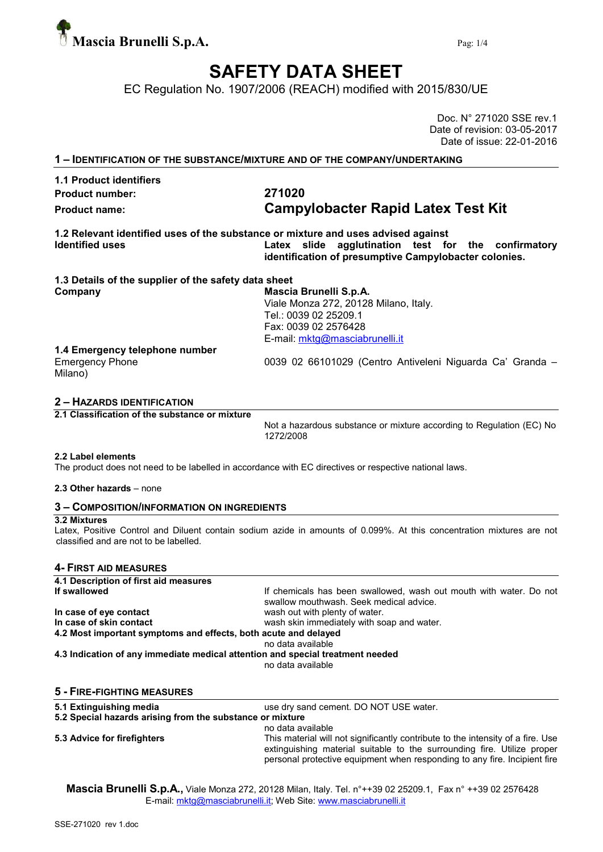

# SAFETY DATA SHEET

EC Regulation No. 1907/2006 (REACH) modified with 2015/830/UE

|                                                                                                             | Doc. N° 271020 SSE rev.1<br>Date of revision: 03-05-2017<br>Date of issue: 22-01-2016                                                              |
|-------------------------------------------------------------------------------------------------------------|----------------------------------------------------------------------------------------------------------------------------------------------------|
|                                                                                                             | 1 - IDENTIFICATION OF THE SUBSTANCE/MIXTURE AND OF THE COMPANY/UNDERTAKING                                                                         |
| <b>1.1 Product identifiers</b><br><b>Product number:</b><br><b>Product name:</b>                            | 271020<br><b>Campylobacter Rapid Latex Test Kit</b>                                                                                                |
| 1.2 Relevant identified uses of the substance or mixture and uses advised against<br><b>Identified uses</b> | Latex slide agglutination test for the confirmatory<br>identification of presumptive Campylobacter colonies.                                       |
| 1.3 Details of the supplier of the safety data sheet<br>Company                                             | Mascia Brunelli S.p.A.<br>Viale Monza 272, 20128 Milano, Italy.<br>Tel.: 0039 02 25209.1<br>Fax: 0039 02 2576428<br>E-mail: mktg@masciabrunelli.it |
| 1.4 Emergency telephone number<br><b>Emergency Phone</b><br>Milano)                                         | 0039 02 66101029 (Centro Antiveleni Niguarda Ca' Granda -                                                                                          |
| <b>2 - HAZARDS IDENTIFICATION</b>                                                                           |                                                                                                                                                    |
| 2.1 Classification of the substance or mixture                                                              | Not a hazardous substance or mixture according to Regulation (EC) No<br>1272/2008                                                                  |
| 2.2 Label elements                                                                                          | The product does not need to be labelled in accordance with EC directives or respective national laws.                                             |
| 2.3 Other hazards – none                                                                                    |                                                                                                                                                    |
| <b>3 - COMPOSITION/INFORMATION ON INGREDIENTS</b>                                                           |                                                                                                                                                    |
| 3.2 Mixtures<br>classified and are not to be labelled.                                                      | Latex, Positive Control and Diluent contain sodium azide in amounts of 0.099%. At this concentration mixtures are not                              |
| 4- FIRST AID MEASURES                                                                                       |                                                                                                                                                    |
| 4.1 Description of first aid measures<br>If swallowed                                                       | If chemicals has been swallowed, wash out mouth with water. Do not                                                                                 |

In case of eye contact **wash out with plenty of water**. In case of skin contact **wash skin immediately with soap and water.** 4.2 Most important symptoms and effects, both acute and delayed

swallow mouthwash. Seek medical advice.

no data available

4.3 Indication of any immediate medical attention and special treatment needed

no data available

#### 5 - FIRE-FIGHTING MEASURES

5.1 Extinguishing media use dry sand cement. DO NOT USE water.

#### 5.2 Special hazards arising from the substance or mixture no data available

5.3 Advice for firefighters This material will not significantly contribute to the intensity of a fire. Use extinguishing material suitable to the surrounding fire. Utilize proper personal protective equipment when responding to any fire. Incipient fire

Mascia Brunelli S.p.A., Viale Monza 272, 20128 Milan, Italy. Tel. n°++39 02 25209.1, Fax n° ++39 02 2576428 E-mail: mktg@masciabrunelli.it; Web Site: www.masciabrunelli.it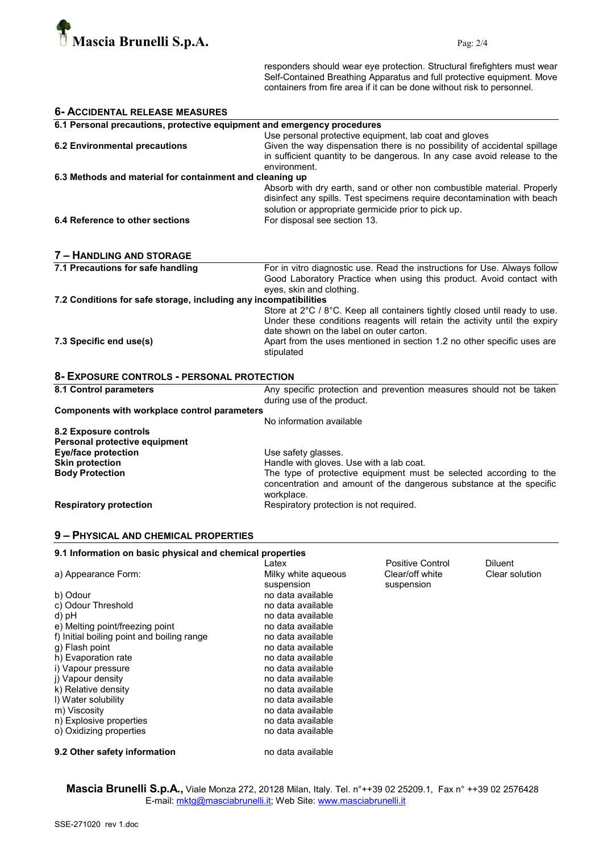

responders should wear eye protection. Structural firefighters must wear Self-Contained Breathing Apparatus and full protective equipment. Move containers from fire area if it can be done without risk to personnel.

| <b>6- ACCIDENTAL RELEASE MEASURES</b>                                   |                                                                                                                                                                                                                                                                                              |  |  |
|-------------------------------------------------------------------------|----------------------------------------------------------------------------------------------------------------------------------------------------------------------------------------------------------------------------------------------------------------------------------------------|--|--|
| 6.1 Personal precautions, protective equipment and emergency procedures |                                                                                                                                                                                                                                                                                              |  |  |
| <b>6.2 Environmental precautions</b>                                    | Use personal protective equipment, lab coat and gloves<br>Given the way dispensation there is no possibility of accidental spillage<br>in sufficient quantity to be dangerous. In any case avoid release to the<br>environment.                                                              |  |  |
| 6.3 Methods and material for containment and cleaning up                |                                                                                                                                                                                                                                                                                              |  |  |
| 6.4 Reference to other sections                                         | Absorb with dry earth, sand or other non combustible material. Properly<br>disinfect any spills. Test specimens require decontamination with beach<br>solution or appropriate germicide prior to pick up.<br>For disposal see section 13.                                                    |  |  |
| 7 - HANDLING AND STORAGE                                                |                                                                                                                                                                                                                                                                                              |  |  |
| 7.1 Precautions for safe handling                                       | For in vitro diagnostic use. Read the instructions for Use. Always follow<br>Good Laboratory Practice when using this product. Avoid contact with<br>eyes, skin and clothing.                                                                                                                |  |  |
| 7.2 Conditions for safe storage, including any incompatibilities        |                                                                                                                                                                                                                                                                                              |  |  |
| 7.3 Specific end use(s)                                                 | Store at 2°C / 8°C. Keep all containers tightly closed until ready to use.<br>Under these conditions reagents will retain the activity until the expiry<br>date shown on the label on outer carton.<br>Apart from the uses mentioned in section 1.2 no other specific uses are<br>stipulated |  |  |
| 8- EXPOSURE CONTROLS - PERSONAL PROTECTION                              |                                                                                                                                                                                                                                                                                              |  |  |
| 8.1 Control parameters                                                  | Any specific protection and prevention measures should not be taken<br>during use of the product.                                                                                                                                                                                            |  |  |
| Components with workplace control parameters                            |                                                                                                                                                                                                                                                                                              |  |  |
| 8.2 Exposure controls<br>Personal protective equipment                  | No information available                                                                                                                                                                                                                                                                     |  |  |
| <b>Eye/face protection</b>                                              | Use safety glasses.                                                                                                                                                                                                                                                                          |  |  |
| <b>Skin protection</b><br><b>Body Protection</b>                        | Handle with gloves. Use with a lab coat.<br>The type of protective equipment must be selected according to the<br>concentration and amount of the dangerous substance at the specific<br>workplace.                                                                                          |  |  |
| <b>Respiratory protection</b>                                           | Respiratory protection is not required.                                                                                                                                                                                                                                                      |  |  |
|                                                                         |                                                                                                                                                                                                                                                                                              |  |  |

### 9 – PHYSICAL AND CHEMICAL PROPERTIES

| 9.1 Information on basic physical and chemical properties |                     |                  |                |
|-----------------------------------------------------------|---------------------|------------------|----------------|
|                                                           | Latex               | Positive Control | <b>Diluent</b> |
| a) Appearance Form:                                       | Milky white aqueous | Clear/off white  | Clear solution |
|                                                           | suspension          | suspension       |                |
| b) Odour                                                  | no data available   |                  |                |
| c) Odour Threshold                                        | no data available   |                  |                |
| d) pH                                                     | no data available   |                  |                |
| e) Melting point/freezing point                           | no data available   |                  |                |
| f) Initial boiling point and boiling range                | no data available   |                  |                |
| q) Flash point                                            | no data available   |                  |                |
| h) Evaporation rate                                       | no data available   |                  |                |
| i) Vapour pressure                                        | no data available   |                  |                |
| i) Vapour density                                         | no data available   |                  |                |
| k) Relative density                                       | no data available   |                  |                |
| I) Water solubility                                       | no data available   |                  |                |
| m) Viscosity                                              | no data available   |                  |                |
| n) Explosive properties                                   | no data available   |                  |                |
| o) Oxidizing properties                                   | no data available   |                  |                |
| 9.2 Other safety information                              | no data available   |                  |                |

**Mascia Brunelli S.p.A.,** Viale Monza 272, 20128 Milan, Italy. Tel. n°++39 02 25209.1, Fax n° ++39 02 2576428 E-mail: <u>mktg@masciabrunelli.it</u>; Web Site: www.masciabrunelli.it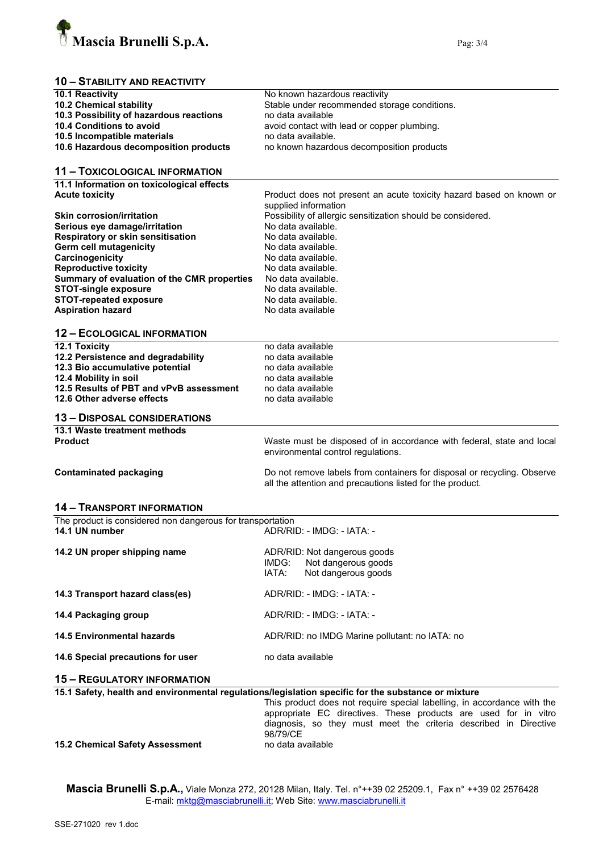

## 10 – STABILITY AND REACTIVITY

| 10.1 Reactivity                                            | No known hazardous reactivity                                                                       |  |  |
|------------------------------------------------------------|-----------------------------------------------------------------------------------------------------|--|--|
| 10.2 Chemical stability                                    | Stable under recommended storage conditions.                                                        |  |  |
| 10.3 Possibility of hazardous reactions                    | no data available                                                                                   |  |  |
| 10.4 Conditions to avoid                                   | avoid contact with lead or copper plumbing.                                                         |  |  |
| 10.5 Incompatible materials                                | no data available.                                                                                  |  |  |
| 10.6 Hazardous decomposition products                      | no known hazardous decomposition products                                                           |  |  |
|                                                            |                                                                                                     |  |  |
| <b>11 - TOXICOLOGICAL INFORMATION</b>                      |                                                                                                     |  |  |
|                                                            |                                                                                                     |  |  |
| 11.1 Information on toxicological effects                  |                                                                                                     |  |  |
| <b>Acute toxicity</b>                                      | Product does not present an acute toxicity hazard based on known or                                 |  |  |
|                                                            | supplied information                                                                                |  |  |
| <b>Skin corrosion/irritation</b>                           | Possibility of allergic sensitization should be considered.                                         |  |  |
| Serious eye damage/irritation                              | No data available.                                                                                  |  |  |
| Respiratory or skin sensitisation                          | No data available.                                                                                  |  |  |
| Germ cell mutagenicity                                     | No data available.                                                                                  |  |  |
| Carcinogenicity                                            | No data available.                                                                                  |  |  |
| <b>Reproductive toxicity</b>                               | No data available.                                                                                  |  |  |
| Summary of evaluation of the CMR properties                | No data available.                                                                                  |  |  |
| <b>STOT-single exposure</b>                                | No data available.                                                                                  |  |  |
| <b>STOT-repeated exposure</b>                              | No data available.                                                                                  |  |  |
| <b>Aspiration hazard</b>                                   | No data available                                                                                   |  |  |
|                                                            |                                                                                                     |  |  |
| <b>12 - ECOLOGICAL INFORMATION</b>                         |                                                                                                     |  |  |
| 12.1 Toxicity                                              | no data available                                                                                   |  |  |
| 12.2 Persistence and degradability                         | no data available                                                                                   |  |  |
| 12.3 Bio accumulative potential                            | no data available                                                                                   |  |  |
| 12.4 Mobility in soil                                      | no data available                                                                                   |  |  |
| 12.5 Results of PBT and vPvB assessment                    | no data available                                                                                   |  |  |
| 12.6 Other adverse effects                                 | no data available                                                                                   |  |  |
| <b>13 - DISPOSAL CONSIDERATIONS</b>                        |                                                                                                     |  |  |
| 13.1 Waste treatment methods                               |                                                                                                     |  |  |
| <b>Product</b>                                             | Waste must be disposed of in accordance with federal, state and local                               |  |  |
|                                                            | environmental control regulations.                                                                  |  |  |
|                                                            |                                                                                                     |  |  |
| <b>Contaminated packaging</b>                              | Do not remove labels from containers for disposal or recycling. Observe                             |  |  |
|                                                            | all the attention and precautions listed for the product.                                           |  |  |
|                                                            |                                                                                                     |  |  |
| <b>14 - TRANSPORT INFORMATION</b>                          |                                                                                                     |  |  |
| The product is considered non dangerous for transportation |                                                                                                     |  |  |
| 14.1 UN number                                             | ADR/RID: - IMDG: - IATA: -                                                                          |  |  |
|                                                            |                                                                                                     |  |  |
| 14.2 UN proper shipping name                               | ADR/RID: Not dangerous goods                                                                        |  |  |
|                                                            | Not dangerous goods<br>IMDG:                                                                        |  |  |
|                                                            | IATA:<br>Not dangerous goods                                                                        |  |  |
| 14.3 Transport hazard class(es)                            | ADR/RID: - IMDG: - IATA: -                                                                          |  |  |
|                                                            |                                                                                                     |  |  |
| 14.4 Packaging group                                       | ADR/RID: - IMDG: - IATA: -                                                                          |  |  |
| <b>14.5 Environmental hazards</b>                          |                                                                                                     |  |  |
|                                                            | ADR/RID: no IMDG Marine pollutant: no IATA: no                                                      |  |  |
| 14.6 Special precautions for user                          | no data available                                                                                   |  |  |
|                                                            |                                                                                                     |  |  |
| <b>15 - REGULATORY INFORMATION</b>                         |                                                                                                     |  |  |
|                                                            | 15.1 Safety, health and environmental regulations/legislation specific for the substance or mixture |  |  |
|                                                            | This product does not require special labelling, in accordance with the                             |  |  |
|                                                            | appropriate EC directives. These products are used for in vitro                                     |  |  |
|                                                            | diagnosis, so they must meet the criteria described in Directive                                    |  |  |
|                                                            | 98/79/CE                                                                                            |  |  |
| <b>15.2 Chemical Safety Assessment</b>                     | no data available                                                                                   |  |  |

**Mascia Brunelli S.p.A.,** Viale Monza 272, 20128 Milan, Italy. Tel. n°++39 02 25209.1, Fax n° ++39 02 2576428 E-mail: <u>mktg@masciabrunelli.it</u>; Web Site: www.masciabrunelli.it